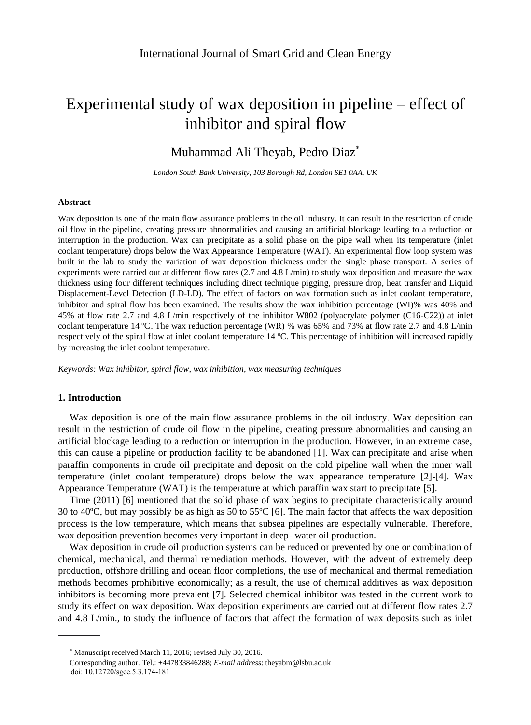# Experimental study of wax deposition in pipeline – effect of inhibitor and spiral flow

# Muhammad Ali Theyab, Pedro Diaz

*London South Bank University, 103 Borough Rd, London SE1 0AA, UK*

#### **Abstract**

Wax deposition is one of the main flow assurance problems in the oil industry. It can result in the restriction of crude oil flow in the pipeline, creating pressure abnormalities and causing an artificial blockage leading to a reduction or interruption in the production. Wax can precipitate as a solid phase on the pipe wall when its temperature (inlet coolant temperature) drops below the Wax Appearance Temperature (WAT). An experimental flow loop system was built in the lab to study the variation of wax deposition thickness under the single phase transport. A series of experiments were carried out at different flow rates (2.7 and 4.8 L/min) to study wax deposition and measure the wax thickness using four different techniques including direct technique pigging, pressure drop, heat transfer and Liquid Displacement-Level Detection (LD-LD). The effect of factors on wax formation such as inlet coolant temperature, inhibitor and spiral flow has been examined. The results show the wax inhibition percentage (WI)% was 40% and 45% at flow rate 2.7 and 4.8 L/min respectively of the inhibitor W802 (polyacrylate polymer (C16-C22)) at inlet coolant temperature 14  $\mathbb{C}$ . The wax reduction percentage (WR) % was 65% and 73% at flow rate 2.7 and 4.8 L/min respectively of the spiral flow at inlet coolant temperature 14  $\mathbb{C}$ . This percentage of inhibition will increased rapidly by increasing the inlet coolant temperature.

*Keywords: Wax inhibitor, spiral flow, wax inhibition, wax measuring techniques*

# **1. Introduction**

Wax deposition is one of the main flow assurance problems in the oil industry. Wax deposition can result in the restriction of crude oil flow in the pipeline, creating pressure abnormalities and causing an artificial blockage leading to a reduction or interruption in the production. However, in an extreme case, this can cause a pipeline or production facility to be abandoned [1]. Wax can precipitate and arise when paraffin components in crude oil precipitate and deposit on the cold pipeline wall when the inner wall temperature (inlet coolant temperature) drops below the wax appearance temperature [2]-[4]. Wax Appearance Temperature (WAT) is the temperature at which paraffin wax start to precipitate [5].

Time (2011) [6] mentioned that the solid phase of wax begins to precipitate characteristically around 30 to 40 °C, but may possibly be as high as 50 to 55 °C [6]. The main factor that affects the wax deposition process is the low temperature, which means that subsea pipelines are especially vulnerable. Therefore, wax deposition prevention becomes very important in deep- water oil production.

Wax deposition in crude oil production systems can be reduced or prevented by one or combination of chemical, mechanical, and thermal remediation methods. However, with the advent of extremely deep production, offshore drilling and ocean floor completions, the use of mechanical and thermal remediation methods becomes prohibitive economically; as a result, the use of chemical additives as wax deposition inhibitors is becoming more prevalent [7]. Selected chemical inhibitor was tested in the current work to study its effect on wax deposition. Wax deposition experiments are carried out at different flow rates 2.7 and 4.8 L/min., to study the influence of factors that affect the formation of wax deposits such as inlet

doi: 10.12720/sgce.5.3.174-181

Manuscript received March 11, 2016; revised July 30, 2016.

Corresponding author. Tel.: +447833846288; *E-mail address*: theyabm@lsbu.ac.uk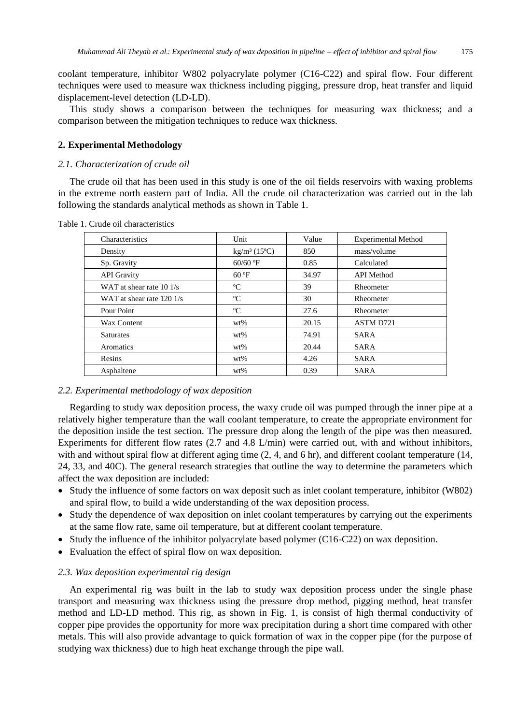coolant temperature, inhibitor W802 polyacrylate polymer (C16-C22) and spiral flow. Four different techniques were used to measure wax thickness including pigging, pressure drop, heat transfer and liquid displacement-level detection (LD-LD).

This study shows a comparison between the techniques for measuring wax thickness; and a comparison between the mitigation techniques to reduce wax thickness.

#### **2. Experimental Methodology**

#### *2.1. Characterization of crude oil*

The crude oil that has been used in this study is one of the oil fields reservoirs with waxing problems in the extreme north eastern part of India. All the crude oil characterization was carried out in the lab following the standards analytical methods as shown in Table 1.

| Characteristics                    | Unit                   | Value | <b>Experimental Method</b> |
|------------------------------------|------------------------|-------|----------------------------|
| Density                            | kg/m $3(15 \text{ C})$ | 850   | mass/volume                |
| Sp. Gravity                        | $60/60$ F              | 0.85  | Calculated                 |
| <b>API</b> Gravity                 | 60 F                   | 34.97 | <b>API</b> Method          |
| WAT at shear rate $10 \frac{1}{s}$ | C                      | 39    | Rheometer                  |
| WAT at shear rate 120 1/s          | C                      | 30    | Rheometer                  |
| Pour Point                         | C                      | 27.6  | Rheometer                  |
| Wax Content                        | $wt\%$                 | 20.15 | ASTM D721                  |
| <b>Saturates</b>                   | $wt\%$                 | 74.91 | <b>SARA</b>                |
| Aromatics                          | $wt\%$                 | 20.44 | <b>SARA</b>                |
| Resins                             | $wt\%$                 | 4.26  | <b>SARA</b>                |
| Asphaltene                         | $wt\%$                 | 0.39  | <b>SARA</b>                |

Table 1. Crude oil characteristics

#### *2.2. Experimental methodology of wax deposition*

Regarding to study wax deposition process, the waxy crude oil was pumped through the inner pipe at a relatively higher temperature than the wall coolant temperature, to create the appropriate environment for the deposition inside the test section. The pressure drop along the length of the pipe was then measured. Experiments for different flow rates (2.7 and 4.8 L/min) were carried out, with and without inhibitors, with and without spiral flow at different aging time  $(2, 4,$  and 6 hr), and different coolant temperature (14, 24, 33, and 40C). The general research strategies that outline the way to determine the parameters which affect the wax deposition are included:

- Study the influence of some factors on wax deposit such as inlet coolant temperature, inhibitor (W802) and spiral flow, to build a wide understanding of the wax deposition process.
- Study the dependence of wax deposition on inlet coolant temperatures by carrying out the experiments at the same flow rate, same oil temperature, but at different coolant temperature.
- Study the influence of the inhibitor polyacrylate based polymer (C16-C22) on wax deposition.
- Evaluation the effect of spiral flow on wax deposition.

#### *2.3. Wax deposition experimental rig design*

An experimental rig was built in the lab to study wax deposition process under the single phase transport and measuring wax thickness using the pressure drop method, pigging method, heat transfer method and LD-LD method. This rig, as shown in Fig. 1, is consist of high thermal conductivity of copper pipe provides the opportunity for more wax precipitation during a short time compared with other metals. This will also provide advantage to quick formation of wax in the copper pipe (for the purpose of studying wax thickness) due to high heat exchange through the pipe wall.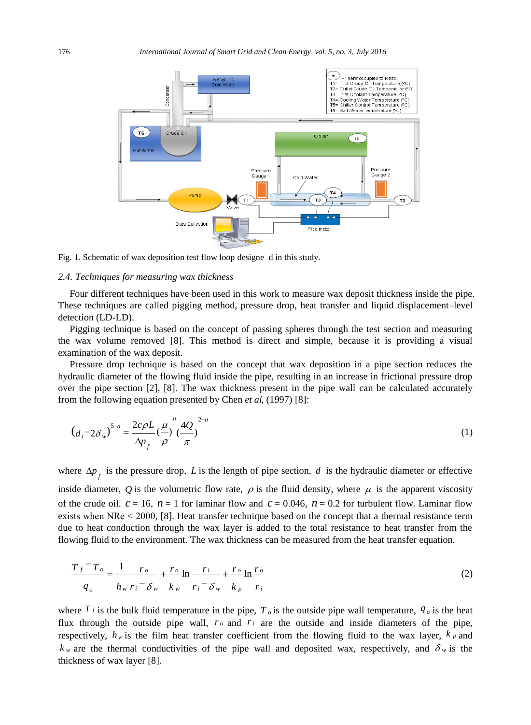

Fig. 1. Schematic of wax deposition test flow loop designe d in this study.

#### *2.4. Techniques for measuring wax thickness*

Four different techniques have been used in this work to measure wax deposit thickness inside the pipe. These techniques are called pigging method, pressure drop, heat transfer and liquid displacement–level detection (LD-LD).

Pigging technique is based on the concept of passing spheres through the test section and measuring the wax volume removed [8]. This method is direct and simple, because it is providing a visual examination of the wax deposit.

Pressure drop technique is based on the concept that wax deposition in a pipe section reduces the hydraulic diameter of the flowing fluid inside the pipe, resulting in an increase in frictional pressure drop over the pipe section [2], [8]. The wax thickness present in the pipe wall can be calculated accurately from the following equation presented by Chen *et al*, (1997) [8]:

$$
(d_i - 2\delta_w)^{5-n} = \frac{2c\rho L}{\Delta p_f} \left(\frac{\mu}{\rho}\right)^n \left(\frac{4Q}{\pi}\right)^{2-n}
$$
 (1)

where  $\Delta p_f$  is the pressure drop, *L* is the length of pipe section, *d* is the hydraulic diameter or effective inside diameter, Q is the volumetric flow rate,  $\rho$  is the fluid density, where  $\mu$  is the apparent viscosity of the crude oil.  $c = 16$ ,  $n = 1$  for laminar flow and  $c = 0.046$ ,  $n = 0.2$  for turbulent flow. Laminar flow exists when NRe ˂ 2000, [8]. Heat transfer technique based on the concept that a thermal resistance term due to heat conduction through the wax layer is added to the total resistance to heat transfer from the flowing fluid to the environment. The wax thickness can be measured from the heat transfer equation.

$$
\frac{T_f - T_o}{q_o} = \frac{1}{h_w} \frac{r_o}{r_i - \delta_w} + \frac{r_o}{k_w} \ln \frac{r_i}{r_i - \delta_w} + \frac{r_o}{k_p} \ln \frac{r_o}{r_i}
$$
(2)

where  $T_f$  is the bulk fluid temperature in the pipe,  $T_o$  is the outside pipe wall temperature,  $q_o$  is the heat flux through the outside pipe wall,  $r_o$  and  $r_i$  are the outside and inside diameters of the pipe, respectively,  $h_w$  is the film heat transfer coefficient from the flowing fluid to the wax layer,  $k_p$  and  $k_w$  are the thermal conductivities of the pipe wall and deposited wax, respectively, and  $\delta_w$  is the thickness of wax layer [8].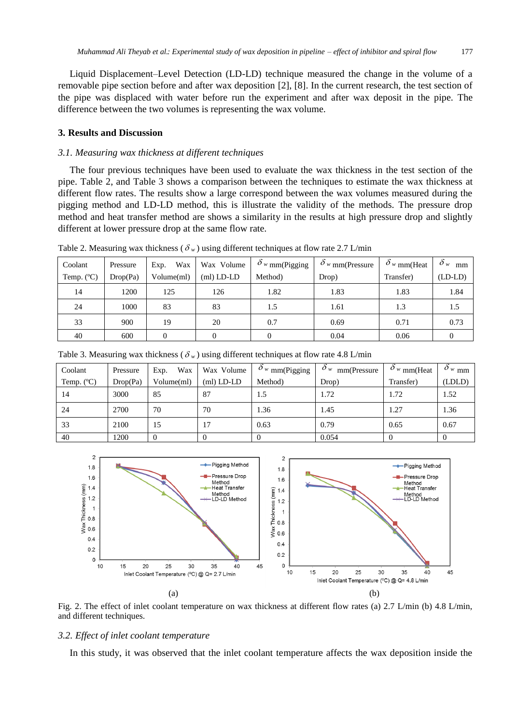Liquid Displacement–Level Detection (LD-LD) technique measured the change in the volume of a removable pipe section before and after wax deposition [2], [8]. In the current research, the test section of the pipe was displaced with water before run the experiment and after wax deposit in the pipe. The difference between the two volumes is representing the wax volume.

### **3. Results and Discussion**

# *3.1. Measuring wax thickness at different techniques*

The four previous techniques have been used to evaluate the wax thickness in the test section of the pipe. Table 2, and Table 3 shows a comparison between the techniques to estimate the wax thickness at different flow rates. The results show a large correspond between the wax volumes measured during the pigging method and LD-LD method, this is illustrate the validity of the methods. The pressure drop method and heat transfer method are shows a similarity in the results at high pressure drop and slightly different at lower pressure drop at the same flow rate.

| Coolant     | Pressure | Wax<br>Exp. | Wax Volume   | $\delta$ <sub>w</sub> mm(Pigging | $\delta_{w}$ mm(Pressure | $\delta_{w}$ mm(Heat | $\delta_w$<br>mm |
|-------------|----------|-------------|--------------|----------------------------------|--------------------------|----------------------|------------------|
| Temp. $(C)$ | Drop(Pa) | Volume(ml)  | $(ml)$ LD-LD | Method)                          | Drop)                    | Transfer)            | $(LD-LD)$        |
| 14          | 1200     | 125         | 126          | 1.82                             | 1.83                     | 1.83                 | 1.84             |
| 24          | 1000     | 83          | 83           | 1.5                              | 1.61                     | 1.3                  | 1.5              |
| 33          | 900      | 19          | 20           | 0.7                              | 0.69                     | 0.71                 | 0.73             |
| 40          | 600      | 0           |              |                                  | 0.04                     | 0.06                 |                  |

Table 2. Measuring wax thickness ( $\delta_w$ ) using different techniques at flow rate 2.7 L/min

| Coolant     | Pressure | Wax<br>Exp. | Wax Volume   | $\partial_{w}$ mm(Pigging | $\delta_{w}$ mm(Pressure | $\delta_{w}$ mm(Heat | $\delta_{w,\text{mm}}$ |
|-------------|----------|-------------|--------------|---------------------------|--------------------------|----------------------|------------------------|
| Temp. $(C)$ | Drop(Pa) | Volume(ml)  | $(ml)$ LD-LD | Method)                   | Drop)                    | Transfer)            | (LDLD)                 |
| 14          | 3000     | 85          | 87           | 1.5                       | 1.72                     | 1.72                 | 1.52                   |
| 24          | 2700     | 70          | 70           | 1.36                      | 1.45                     | 1.27                 | 1.36                   |
| 33          | 2100     | 15          | 17           | 0.63                      | 0.79                     | 0.65                 | 0.67                   |
| 40          | 1200     |             |              |                           | 0.054                    |                      | $\Omega$               |

Table 3. Measuring wax thickness ( $\delta_w$ ) using different techniques at flow rate 4.8 L/min



Fig. 2. The effect of inlet coolant temperature on wax thickness at different flow rates (a) 2.7 L/min (b) 4.8 L/min, and different techniques.

#### *3.2. Effect of inlet coolant temperature*

In this study, it was observed that the inlet coolant temperature affects the wax deposition inside the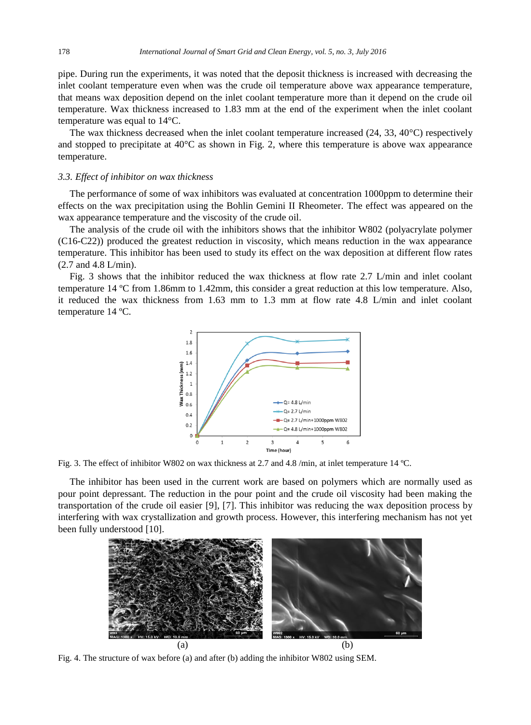pipe. During run the experiments, it was noted that the deposit thickness is increased with decreasing the inlet coolant temperature even when was the crude oil temperature above wax appearance temperature, that means wax deposition depend on the inlet coolant temperature more than it depend on the crude oil temperature. Wax thickness increased to 1.83 mm at the end of the experiment when the inlet coolant temperature was equal to  $14 \text{ C}$ .

The wax thickness decreased when the inlet coolant temperature increased  $(24, 33, 40 \text{ C})$  respectively and stopped to precipitate at 40  $\mathbb C$  as shown in Fig. 2, where this temperature is above wax appearance temperature.

#### *3.3. Effect of inhibitor on wax thickness*

The performance of some of wax inhibitors was evaluated at concentration 1000ppm to determine their effects on the wax precipitation using the Bohlin Gemini II Rheometer. The effect was appeared on the wax appearance temperature and the viscosity of the crude oil.

The analysis of the crude oil with the inhibitors shows that the inhibitor W802 (polyacrylate polymer (C16-C22)) produced the greatest reduction in viscosity, which means reduction in the wax appearance temperature. This inhibitor has been used to study its effect on the wax deposition at different flow rates (2.7 and 4.8 L/min).

Fig. 3 shows that the inhibitor reduced the wax thickness at flow rate 2.7 L/min and inlet coolant temperature  $14 \text{ } \text{C}$  from 1.86mm to 1.42mm, this consider a great reduction at this low temperature. Also, it reduced the wax thickness from 1.63 mm to 1.3 mm at flow rate 4.8 L/min and inlet coolant temperature 14  $\mathbb{C}$ .



Fig. 3. The effect of inhibitor W802 on wax thickness at 2.7 and 4.8 /min, at inlet temperature 14 ºC.

The inhibitor has been used in the current work are based on polymers which are normally used as pour point depressant. The reduction in the pour point and the crude oil viscosity had been making the transportation of the crude oil easier [9], [7]. This inhibitor was reducing the wax deposition process by interfering with wax crystallization and growth process. However, this interfering mechanism has not yet been fully understood [10].



Fig. 4. The structure of wax before (a) and after (b) adding the inhibitor W802 using SEM.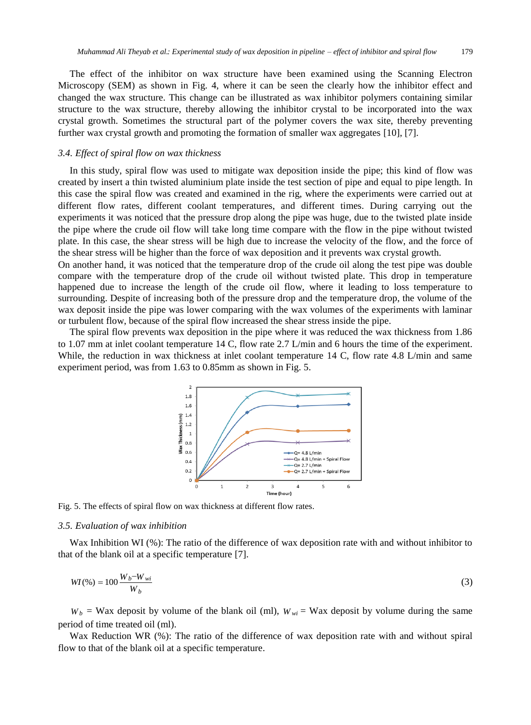The effect of the inhibitor on wax structure have been examined using the Scanning Electron Microscopy (SEM) as shown in Fig. 4, where it can be seen the clearly how the inhibitor effect and changed the wax structure. This change can be illustrated as wax inhibitor polymers containing similar structure to the wax structure, thereby allowing the inhibitor crystal to be incorporated into the wax crystal growth. Sometimes the structural part of the polymer covers the wax site, thereby preventing further wax crystal growth and promoting the formation of smaller wax aggregates [10], [7].

# *3.4. Effect of spiral flow on wax thickness*

In this study, spiral flow was used to mitigate wax deposition inside the pipe; this kind of flow was created by insert a thin twisted aluminium plate inside the test section of pipe and equal to pipe length. In this case the spiral flow was created and examined in the rig, where the experiments were carried out at different flow rates, different coolant temperatures, and different times. During carrying out the experiments it was noticed that the pressure drop along the pipe was huge, due to the twisted plate inside the pipe where the crude oil flow will take long time compare with the flow in the pipe without twisted plate. In this case, the shear stress will be high due to increase the velocity of the flow, and the force of the shear stress will be higher than the force of wax deposition and it prevents wax crystal growth.

On another hand, it was noticed that the temperature drop of the crude oil along the test pipe was double compare with the temperature drop of the crude oil without twisted plate. This drop in temperature happened due to increase the length of the crude oil flow, where it leading to loss temperature to surrounding. Despite of increasing both of the pressure drop and the temperature drop, the volume of the wax deposit inside the pipe was lower comparing with the wax volumes of the experiments with laminar or turbulent flow, because of the spiral flow increased the shear stress inside the pipe.

The spiral flow prevents wax deposition in the pipe where it was reduced the wax thickness from 1.86 to 1.07 mm at inlet coolant temperature 14 C, flow rate 2.7 L/min and 6 hours the time of the experiment. While, the reduction in wax thickness at inlet coolant temperature 14 C, flow rate 4.8 L/min and same experiment period, was from 1.63 to 0.85mm as shown in Fig. 5.



Fig. 5. The effects of spiral flow on wax thickness at different flow rates.

#### *3.5. Evaluation of wax inhibition*

Wax Inhibition WI (%): The ratio of the difference of wax deposition rate with and without inhibitor to that of the blank oil at a specific temperature [7].

$$
WI(\%) = 100 \frac{W_b - W_{wi}}{W_b} \tag{3}
$$

 $W_b$  = Wax deposit by volume of the blank oil (ml),  $W_{wi}$  = Wax deposit by volume during the same period of time treated oil (ml).

Wax Reduction WR (%): The ratio of the difference of wax deposition rate with and without spiral flow to that of the blank oil at a specific temperature.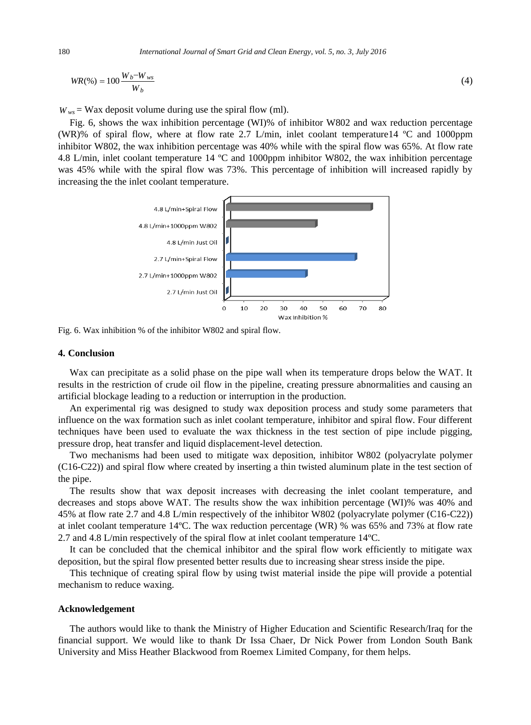$$
WR(\%) = 100 \frac{W_b - W_{ws}}{W_b} \tag{4}
$$

 $W_{ws}$  = Wax deposit volume during use the spiral flow (ml).

Fig. 6, shows the wax inhibition percentage (WI)% of inhibitor W802 and wax reduction percentage (WR)% of spiral flow, where at flow rate 2.7 L/min, inlet coolant temperature 14  $\degree$  C and 1000 ppm inhibitor W802, the wax inhibition percentage was 40% while with the spiral flow was 65%. At flow rate 4.8 L/min, inlet coolant temperature 14  $\degree$ C and 1000ppm inhibitor W802, the wax inhibition percentage was 45% while with the spiral flow was 73%. This percentage of inhibition will increased rapidly by increasing the the inlet coolant temperature.



Fig. 6. Wax inhibition % of the inhibitor W802 and spiral flow.

#### **4. Conclusion**

Wax can precipitate as a solid phase on the pipe wall when its temperature drops below the WAT. It results in the restriction of crude oil flow in the pipeline, creating pressure abnormalities and causing an artificial blockage leading to a reduction or interruption in the production.

An experimental rig was designed to study wax deposition process and study some parameters that influence on the wax formation such as inlet coolant temperature, inhibitor and spiral flow. Four different techniques have been used to evaluate the wax thickness in the test section of pipe include pigging, pressure drop, heat transfer and liquid displacement-level detection.

Two mechanisms had been used to mitigate wax deposition, inhibitor W802 (polyacrylate polymer (C16-C22)) and spiral flow where created by inserting a thin twisted aluminum plate in the test section of the pipe.

The results show that wax deposit increases with decreasing the inlet coolant temperature, and decreases and stops above WAT. The results show the wax inhibition percentage (WI)% was 40% and 45% at flow rate 2.7 and 4.8 L/min respectively of the inhibitor W802 (polyacrylate polymer (C16-C22)) at inlet coolant temperature 14  $\mathbb{C}$ . The wax reduction percentage (WR) % was 65% and 73% at flow rate 2.7 and 4.8 L/min respectively of the spiral flow at inlet coolant temperature 14ºC.

It can be concluded that the chemical inhibitor and the spiral flow work efficiently to mitigate wax deposition, but the spiral flow presented better results due to increasing shear stress inside the pipe.

This technique of creating spiral flow by using twist material inside the pipe will provide a potential mechanism to reduce waxing.

#### **Acknowledgement**

The authors would like to thank the Ministry of Higher Education and Scientific Research/Iraq for the financial support. We would like to thank Dr Issa Chaer, Dr Nick Power from London South Bank University and Miss Heather Blackwood from Roemex Limited Company, for them helps.